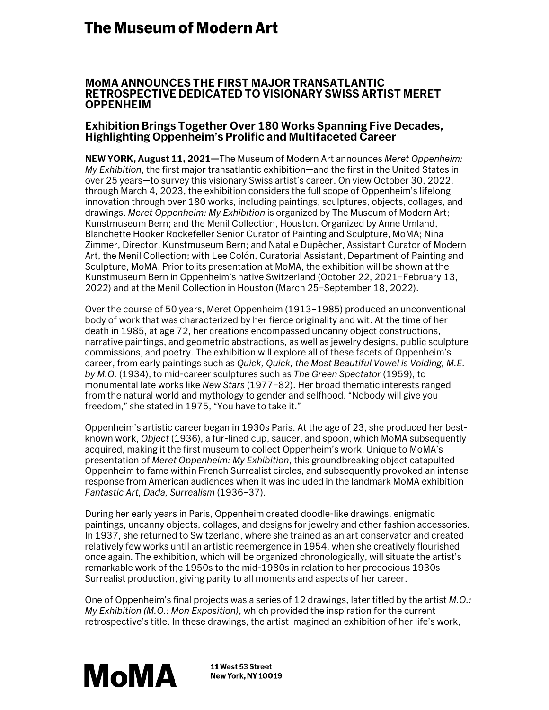# **The Museum of Modern Art**

### **MoMA ANNOUNCES THE FIRST MAJOR TRANSATLANTIC RETROSPECTIVE DEDICATED TO VISIONARY SWISS ARTIST MERET OPPENHEIM**

## **Exhibition Brings Together Over 180 Works Spanning Five Decades, Highlighting Oppenheim's Prolific and Multifaceted Career**

**NEW YORK, August 11, 2021—**The Museum of Modern Art announces *Meret Oppenheim: My Exhibition*, the first major transatlantic exhibition—and the first in the United States in over 25 years—to survey this visionary Swiss artist's career. On view October 30, 2022, through March 4, 2023, the exhibition considers the full scope of Oppenheim's lifelong innovation through over 180 works, including paintings, sculptures, objects, collages, and drawings. *Meret Oppenheim: My Exhibition* is organized by The Museum of Modern Art; Kunstmuseum Bern; and the Menil Collection, Houston. Organized by Anne Umland, Blanchette Hooker Rockefeller Senior Curator of Painting and Sculpture, MoMA; Nina Zimmer, Director, Kunstmuseum Bern; and Natalie Dupêcher, Assistant Curator of Modern Art, the Menil Collection; with Lee Colón, Curatorial Assistant, Department of Painting and Sculpture, MoMA. Prior to its presentation at MoMA, the exhibition will be shown at the Kunstmuseum Bern in Oppenheim's native Switzerland (October 22, 2021–February 13, 2022) and at the Menil Collection in Houston (March 25–September 18, 2022).

Over the course of 50 years, Meret Oppenheim (1913–1985) produced an unconventional body of work that was characterized by her fierce originality and wit. At the time of her death in 1985, at age 72, her creations encompassed uncanny object constructions, narrative paintings, and geometric abstractions, as well as jewelry designs, public sculpture commissions, and poetry. The exhibition will explore all of these facets of Oppenheim's career, from early paintings such as *Quick, Quick, the Most Beautiful Vowel is Voiding, M.E. by M.O.* (1934), to mid-career sculptures such as *The Green Spectator* (1959), to monumental late works like *New Stars* (1977–82). Her broad thematic interests ranged from the natural world and mythology to gender and selfhood. "Nobody will give you freedom," she stated in 1975, "You have to take it."

Oppenheim's artistic career began in 1930s Paris. At the age of 23, she produced her bestknown work, *Object* (1936), a fur-lined cup, saucer, and spoon, which MoMA subsequently acquired, making it the first museum to collect Oppenheim's work. Unique to MoMA's presentation of *Meret Oppenheim: My Exhibition*, this groundbreaking object catapulted Oppenheim to fame within French Surrealist circles, and subsequently provoked an intense response from American audiences when it was included in the landmark MoMA exhibition *Fantastic Art, Dada, Surrealism* (1936–37).

During her early years in Paris, Oppenheim created doodle-like drawings, enigmatic paintings, uncanny objects, collages, and designs for jewelry and other fashion accessories. In 1937, she returned to Switzerland, where she trained as an art conservator and created relatively few works until an artistic reemergence in 1954, when she creatively flourished once again. The exhibition, which will be organized chronologically, will situate the artist's remarkable work of the 1950s to the mid-1980s in relation to her precocious 1930s Surrealist production, giving parity to all moments and aspects of her career.

One of Oppenheim's final projects was a series of 12 drawings, later titled by the artist *M.O.: My Exhibition (M.O.: Mon Exposition)*, which provided the inspiration for the current retrospective's title. In these drawings, the artist imagined an exhibition of her life's work,



11 West 53 Street New York, NY 10019